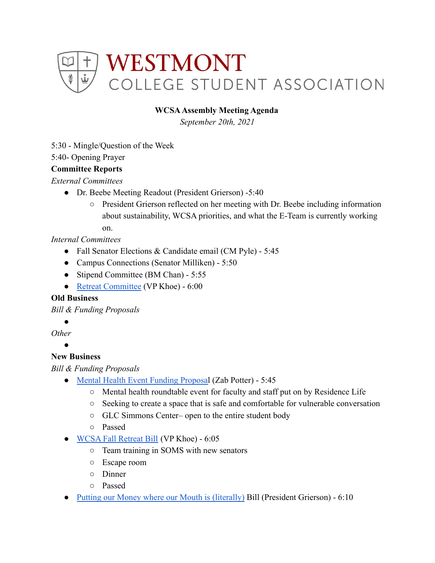

### **WCSAAssembly Meeting Agenda**

*September 20th, 2021*

5:30 - Mingle/Question of the Week

5:40- Opening Prayer

#### **Committee Reports**

*External Committees*

- Dr. Beebe Meeting Readout (President Grierson) -5:40
	- President Grierson reflected on her meeting with Dr. Beebe including information about sustainability, WCSA priorities, and what the E-Team is currently working on.

### *Internal Committees*

- Fall Senator Elections & Candidate email (CM Pyle) 5:45
- Campus Connections (Senator Milliken) 5:50
- Stipend Committee (BM Chan) 5:55
- [Retreat Committee](https://docs.google.com/document/d/1on-oxeQePJeW39jYRzkY9BKc22aycEXBm3NjWxV-WrE/edit) (VP Khoe) 6:00

#### **Old Business**

*Bill & Funding Proposals*

#### **。**

*Other*

 $\blacktriangle$ 

# **New Business**

*Bill & Funding Proposals*

- [Mental Health Event Funding Proposal](https://drive.google.com/drive/u/0/folders/1lpBa9euwGHKuq9cLARjDbQxYBe7GiNRT) (Zab Potter) 5:45
	- Mental health roundtable event for faculty and staff put on by Residence Life
	- Seeking to create a space that is safe and comfortable for vulnerable conversation
	- GLC Simmons Center– open to the entire student body
	- Passed
- [WCSA Fall Retreat Bill](https://docs.google.com/document/d/1acsSFANHgnVb1Ln2Wn-iXx7SMMVRXb9aHyQ2QQpHfcw/edit) (VP Khoe) 6:05
	- Team training in SOMS with new senators
	- Escape room
	- Dinner
	- Passed
- [Putting our Money where our Mouth is \(literally\)](https://docs.google.com/document/d/18f2e5fwD0ajmTMIZPah8HOkXp-iEUYGFIcEfFdI19jE/edit) Bill (President Grierson) 6:10